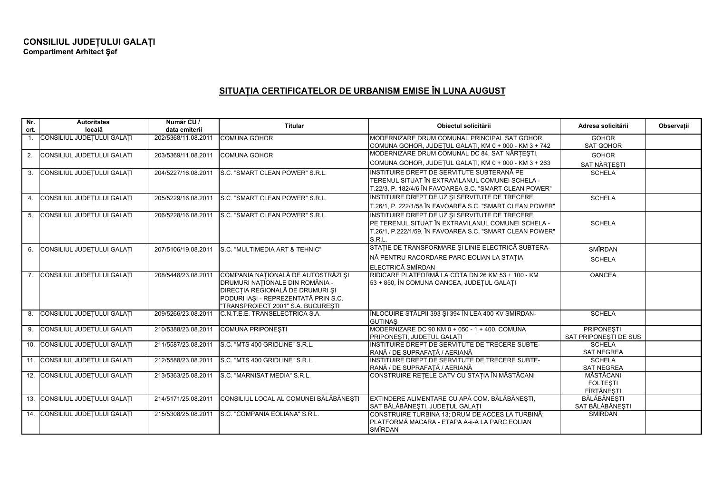## **SITUA IA CERTIFICATELOR DE URBANISM EMISE ÎN LUNA AUGUST**

| Nr.<br>crt.      | <b>Autoritatea</b><br>locală   | Număr CU /<br>data emiterii | <b>Titular</b>                                                                                                                                                                           | Obiectul solicitării                                                                                                                                                       | Adresa solicitării                         | Observatii |
|------------------|--------------------------------|-----------------------------|------------------------------------------------------------------------------------------------------------------------------------------------------------------------------------------|----------------------------------------------------------------------------------------------------------------------------------------------------------------------------|--------------------------------------------|------------|
|                  | 1. CONSILIUL JUDEȚULUI GALAȚI  | 202/5368/11.08.2011         | <b>COMUNA GOHOR</b>                                                                                                                                                                      | IMODERNIZARE DRUM COMUNAL PRINCIPAL SAT GOHOR.<br>COMUNA GOHOR, JUDEȚUL GALAȚI, KM 0 + 000 - KM 3 + 742                                                                    | <b>GOHOR</b><br><b>SAT GOHOR</b>           |            |
| 2.               | CONSILIUL JUDEȚULUI GALAȚI     | 203/5369/11.08.2011         | <b>COMUNA GOHOR</b>                                                                                                                                                                      | MODERNIZARE DRUM COMUNAL DC 84, SAT NĂRȚEȘTI,                                                                                                                              | <b>GOHOR</b>                               |            |
|                  |                                |                             |                                                                                                                                                                                          | COMUNA GOHOR, JUDEȚUL GALAȚI, KM 0 + 000 - KM 3 + 263                                                                                                                      | SAT NĂRȚEȘTI                               |            |
| 3.               | CONSILIUL JUDEȚULUI GALAȚI     | 204/5227/16.08.2011         | S.C. "SMART CLEAN POWER" S.R.L.                                                                                                                                                          | INSTITUIRE DREPT DE SERVITUTE SUBTERANĂ PE<br>TERENUL SITUAT ÎN EXTRAVILANUL COMUNEI SCHELA -                                                                              | <b>SCHELA</b>                              |            |
|                  |                                |                             |                                                                                                                                                                                          | T.22/3, P. 182/4/6 ÎN FAVOAREA S.C. "SMART CLEAN POWER"<br>INSTITUIRE DREPT DE UZ ȘI SERVITUTE DE TRECERE                                                                  |                                            |            |
| 4.               | CONSILIUL JUDEȚULUI GALAȚI     | 205/5229/16.08.2011         | S.C. "SMART CLEAN POWER" S.R.L.                                                                                                                                                          | T.26/1, P. 222/1/58 ÎN FAVOAREA S.C. "SMART CLEAN POWER"                                                                                                                   | <b>SCHELA</b>                              |            |
| 5.               | CONSILIUL JUDEȚULUI GALAȚI     | 206/5228/16.08.2011         | S.C. "SMART CLEAN POWER" S.R.L.                                                                                                                                                          | INSTITUIRE DREPT DE UZ ȘI SERVITUTE DE TRECERE<br>PE TERENUL SITUAT ÎN EXTRAVILANUL COMUNEI SCHELA -<br>T.26/1, P.222/1/59, ÎN FAVOAREA S.C. "SMART CLEAN POWER"<br>S.R.L. | <b>SCHELA</b>                              |            |
| 6.               | CONSILIUL JUDEȚULUI GALAȚI     | 207/5106/19.08.2011         | S.C. "MULTIMEDIA ART & TEHNIC"                                                                                                                                                           | STAȚIE DE TRANSFORMARE ȘI LINIE ELECTRICĂ SUBTERA-                                                                                                                         | <b>SMÎRDAN</b>                             |            |
|                  |                                |                             |                                                                                                                                                                                          | NĂ PENTRU RACORDARE PARC EOLIAN LA STAȚIA<br>ELECTRICĂ SMÎRDAN                                                                                                             | <b>SCHELA</b>                              |            |
| $\overline{7}$ . | CONSILIUL JUDEȚULUI GALAȚI     | 208/5448/23.08.2011         | COMPANIA NAȚIONALĂ DE AUTOSTRĂZI ȘI<br>DRUMURI NAȚIONALE DIN ROMÂNIA -<br>DIRECȚIA REGIONALĂ DE DRUMURI ȘI<br>PODURI IAȘI - REPREZENTATĂ PRIN S.C.<br>"TRANSPROIECT 2001" S.A. BUCURESTI | RIDICARE PLATFORMĂ LA COTA DN 26 KM 53 + 100 - KM<br>53 + 850, ÎN COMUNA OANCEA, JUDEȚUL GALAȚI                                                                            | <b>OANCEA</b>                              |            |
| 8.               | CONSILIUL JUDEȚULUI GALAȚI     | 209/5266/23.08.2011         | C.N.T.E.E. TRANSELECTRICA S.A.                                                                                                                                                           | ÎNLOCUIRE STÂLPII 393 ȘI 394 ÎN LEA 400 KV SMÎRDAN-<br><b>GUTINAS</b>                                                                                                      | <b>SCHELA</b>                              |            |
|                  | 9. CONSILIUL JUDEȚULUI GALAȚI  | 210/5388/23.08.2011         | <b>COMUNA PRIPONESTI</b>                                                                                                                                                                 | MODERNIZARE DC 90 KM 0 + 050 - 1 + 400, COMUNA<br>PRIPONEȘTI, JUDEȚUL GALAȚI                                                                                               | <b>PRIPONESTI</b><br>SAT PRIPONESTI DE SUS |            |
|                  | 10. CONSILIUL JUDETULUI GALATI | 211/5587/23.08.2011         | S.C. "MTS 400 GRIDLINE" S.R.L.                                                                                                                                                           | INSTITUIRE DREPT DE SERVITUTE DE TRECERE SUBTE-<br>RANĂ / DE SUPRAFATĂ / AERIANĂ                                                                                           | <b>SCHELA</b><br><b>SAT NEGREA</b>         |            |
|                  | 11. CONSILIUL JUDEȚULUI GALAȚI | 212/5588/23.08.2011         | S.C. "MTS 400 GRIDLINE" S.R.L.                                                                                                                                                           | INSTITUIRE DREPT DE SERVITUTE DE TRECERE SUBTE-<br>RANĂ / DE SUPRAFATĂ / AERIANĂ                                                                                           | <b>SCHELA</b><br><b>SAT NEGREA</b>         |            |
|                  | 12. CONSILIUL JUDETULUI GALATI | 213/5363/25.08.2011         | S.C. "MARNISAT MEDIA" S.R.L.                                                                                                                                                             | CONSTRUIRE REȚELE CATV CU STAȚIA ÎN MĂSTĂCANI                                                                                                                              | MĂSTĂCANI<br><b>FOLTESTI</b><br>FÎRȚĂNEȘTI |            |
|                  | 13. CONSILIUL JUDEȚULUI GALAȚI | 214/5171/25.08.2011         | CONSILIUL LOCAL AL COMUNEI BĂLĂBĂNEȘTI                                                                                                                                                   | EXTINDERE ALIMENTARE CU APĂ COM. BĂLĂBĂNEȘTI,<br>SAT BĂLĂBĂNEȘTI, JUDEȚUL GALAȚI                                                                                           | BĂLĂBĂNEȘTI<br>SAT BĂLĂBĂNEȘTI             |            |
|                  | 14. CONSILIUL JUDEȚULUI GALAȚI | 215/5308/25.08.2011         | S.C. "COMPANIA EOLIANĂ" S.R.L.                                                                                                                                                           | CONSTRUIRE TURBINA 13; DRUM DE ACCES LA TURBINĂ;<br>PLATFORMĂ MACARA - ETAPA A-ii-A LA PARC EOLIAN<br><b>SMÎRDAN</b>                                                       | SMÎRDAN                                    |            |